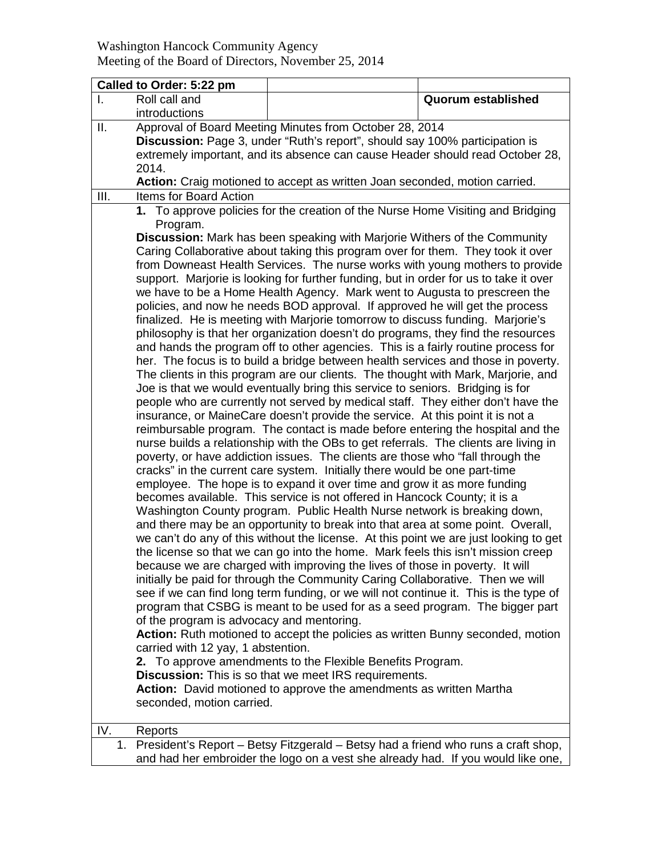## Washington Hancock Community Agency Meeting of the Board of Directors, November 25, 2014

|      | Called to Order: 5:22 pm                                                                                                                                       |                                                                                       |                           |  |  |  |
|------|----------------------------------------------------------------------------------------------------------------------------------------------------------------|---------------------------------------------------------------------------------------|---------------------------|--|--|--|
| L.   | Roll call and                                                                                                                                                  |                                                                                       | <b>Quorum established</b> |  |  |  |
|      | introductions                                                                                                                                                  |                                                                                       |                           |  |  |  |
| ΙΙ.  | Approval of Board Meeting Minutes from October 28, 2014                                                                                                        |                                                                                       |                           |  |  |  |
|      | Discussion: Page 3, under "Ruth's report", should say 100% participation is                                                                                    |                                                                                       |                           |  |  |  |
|      | extremely important, and its absence can cause Header should read October 28,                                                                                  |                                                                                       |                           |  |  |  |
|      | 2014.                                                                                                                                                          |                                                                                       |                           |  |  |  |
|      |                                                                                                                                                                | Action: Craig motioned to accept as written Joan seconded, motion carried.            |                           |  |  |  |
| III. | Items for Board Action                                                                                                                                         |                                                                                       |                           |  |  |  |
|      | 1. To approve policies for the creation of the Nurse Home Visiting and Bridging                                                                                |                                                                                       |                           |  |  |  |
|      | Program.                                                                                                                                                       |                                                                                       |                           |  |  |  |
|      |                                                                                                                                                                | <b>Discussion:</b> Mark has been speaking with Marjorie Withers of the Community      |                           |  |  |  |
|      |                                                                                                                                                                | Caring Collaborative about taking this program over for them. They took it over       |                           |  |  |  |
|      | from Downeast Health Services. The nurse works with young mothers to provide                                                                                   |                                                                                       |                           |  |  |  |
|      | support. Marjorie is looking for further funding, but in order for us to take it over                                                                          |                                                                                       |                           |  |  |  |
|      | we have to be a Home Health Agency. Mark went to Augusta to prescreen the                                                                                      |                                                                                       |                           |  |  |  |
|      | policies, and now he needs BOD approval. If approved he will get the process<br>finalized. He is meeting with Marjorie tomorrow to discuss funding. Marjorie's |                                                                                       |                           |  |  |  |
|      | philosophy is that her organization doesn't do programs, they find the resources                                                                               |                                                                                       |                           |  |  |  |
|      | and hands the program off to other agencies. This is a fairly routine process for                                                                              |                                                                                       |                           |  |  |  |
|      | her. The focus is to build a bridge between health services and those in poverty.                                                                              |                                                                                       |                           |  |  |  |
|      | The clients in this program are our clients. The thought with Mark, Marjorie, and                                                                              |                                                                                       |                           |  |  |  |
|      | Joe is that we would eventually bring this service to seniors. Bridging is for                                                                                 |                                                                                       |                           |  |  |  |
|      |                                                                                                                                                                | people who are currently not served by medical staff. They either don't have the      |                           |  |  |  |
|      |                                                                                                                                                                | insurance, or MaineCare doesn't provide the service. At this point it is not a        |                           |  |  |  |
|      |                                                                                                                                                                | reimbursable program. The contact is made before entering the hospital and the        |                           |  |  |  |
|      |                                                                                                                                                                | nurse builds a relationship with the OBs to get referrals. The clients are living in  |                           |  |  |  |
|      |                                                                                                                                                                | poverty, or have addiction issues. The clients are those who "fall through the        |                           |  |  |  |
|      |                                                                                                                                                                | cracks" in the current care system. Initially there would be one part-time            |                           |  |  |  |
|      |                                                                                                                                                                | employee. The hope is to expand it over time and grow it as more funding              |                           |  |  |  |
|      | becomes available. This service is not offered in Hancock County; it is a                                                                                      |                                                                                       |                           |  |  |  |
|      | Washington County program. Public Health Nurse network is breaking down,                                                                                       |                                                                                       |                           |  |  |  |
|      |                                                                                                                                                                | and there may be an opportunity to break into that area at some point. Overall,       |                           |  |  |  |
|      |                                                                                                                                                                | we can't do any of this without the license. At this point we are just looking to get |                           |  |  |  |
|      |                                                                                                                                                                | the license so that we can go into the home. Mark feels this isn't mission creep      |                           |  |  |  |
|      |                                                                                                                                                                | because we are charged with improving the lives of those in poverty. It will          |                           |  |  |  |
|      |                                                                                                                                                                | initially be paid for through the Community Caring Collaborative. Then we will        |                           |  |  |  |
|      |                                                                                                                                                                | see if we can find long term funding, or we will not continue it. This is the type of |                           |  |  |  |
|      |                                                                                                                                                                | program that CSBG is meant to be used for as a seed program. The bigger part          |                           |  |  |  |
|      | of the program is advocacy and mentoring.                                                                                                                      |                                                                                       |                           |  |  |  |
|      |                                                                                                                                                                | Action: Ruth motioned to accept the policies as written Bunny seconded, motion        |                           |  |  |  |
|      | carried with 12 yay, 1 abstention.                                                                                                                             |                                                                                       |                           |  |  |  |
|      |                                                                                                                                                                | 2. To approve amendments to the Flexible Benefits Program.                            |                           |  |  |  |
|      |                                                                                                                                                                | <b>Discussion:</b> This is so that we meet IRS requirements.                          |                           |  |  |  |
|      |                                                                                                                                                                | Action: David motioned to approve the amendments as written Martha                    |                           |  |  |  |
|      | seconded, motion carried.                                                                                                                                      |                                                                                       |                           |  |  |  |
| IV.  | Reports                                                                                                                                                        |                                                                                       |                           |  |  |  |
|      |                                                                                                                                                                |                                                                                       |                           |  |  |  |

1. President's Report – Betsy Fitzgerald – Betsy had a friend who runs a craft shop, and had her embroider the logo on a vest she already had. If you would like one,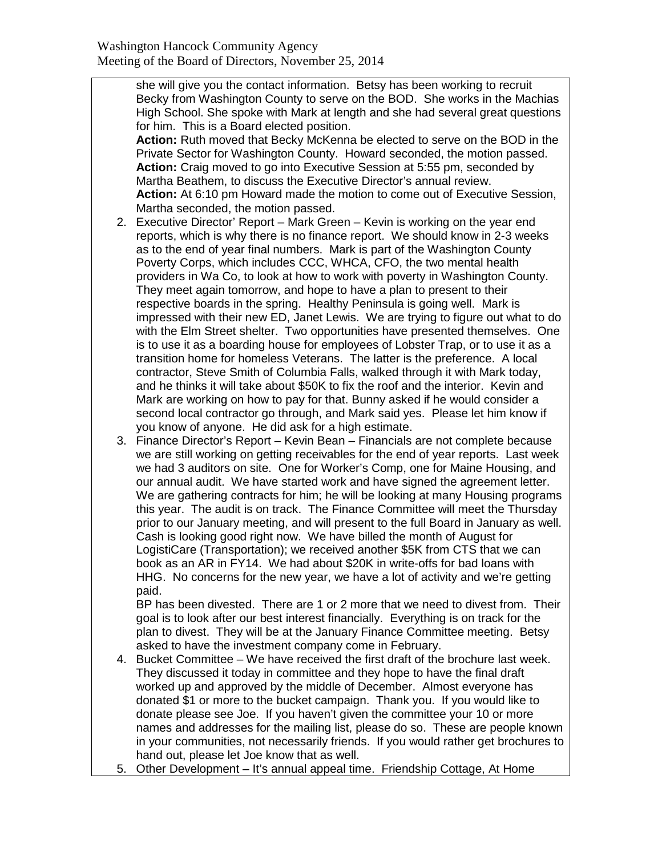she will give you the contact information. Betsy has been working to recruit Becky from Washington County to serve on the BOD. She works in the Machias High School. She spoke with Mark at length and she had several great questions for him. This is a Board elected position.

**Action:** Ruth moved that Becky McKenna be elected to serve on the BOD in the Private Sector for Washington County. Howard seconded, the motion passed. **Action:** Craig moved to go into Executive Session at 5:55 pm, seconded by Martha Beathem, to discuss the Executive Director's annual review. **Action:** At 6:10 pm Howard made the motion to come out of Executive Session, Martha seconded, the motion passed.

- 2. Executive Director' Report Mark Green Kevin is working on the year end reports, which is why there is no finance report. We should know in 2-3 weeks as to the end of year final numbers. Mark is part of the Washington County Poverty Corps, which includes CCC, WHCA, CFO, the two mental health providers in Wa Co, to look at how to work with poverty in Washington County. They meet again tomorrow, and hope to have a plan to present to their respective boards in the spring. Healthy Peninsula is going well. Mark is impressed with their new ED, Janet Lewis. We are trying to figure out what to do with the Elm Street shelter. Two opportunities have presented themselves. One is to use it as a boarding house for employees of Lobster Trap, or to use it as a transition home for homeless Veterans. The latter is the preference. A local contractor, Steve Smith of Columbia Falls, walked through it with Mark today, and he thinks it will take about \$50K to fix the roof and the interior. Kevin and Mark are working on how to pay for that. Bunny asked if he would consider a second local contractor go through, and Mark said yes. Please let him know if you know of anyone. He did ask for a high estimate.
- 3. Finance Director's Report Kevin Bean Financials are not complete because we are still working on getting receivables for the end of year reports. Last week we had 3 auditors on site. One for Worker's Comp, one for Maine Housing, and our annual audit. We have started work and have signed the agreement letter. We are gathering contracts for him; he will be looking at many Housing programs this year. The audit is on track. The Finance Committee will meet the Thursday prior to our January meeting, and will present to the full Board in January as well. Cash is looking good right now. We have billed the month of August for LogistiCare (Transportation); we received another \$5K from CTS that we can book as an AR in FY14. We had about \$20K in write-offs for bad loans with HHG. No concerns for the new year, we have a lot of activity and we're getting paid.

BP has been divested. There are 1 or 2 more that we need to divest from. Their goal is to look after our best interest financially. Everything is on track for the plan to divest. They will be at the January Finance Committee meeting. Betsy asked to have the investment company come in February.

- 4. Bucket Committee We have received the first draft of the brochure last week. They discussed it today in committee and they hope to have the final draft worked up and approved by the middle of December. Almost everyone has donated \$1 or more to the bucket campaign. Thank you. If you would like to donate please see Joe. If you haven't given the committee your 10 or more names and addresses for the mailing list, please do so. These are people known in your communities, not necessarily friends. If you would rather get brochures to hand out, please let Joe know that as well.
- 5. Other Development It's annual appeal time. Friendship Cottage, At Home